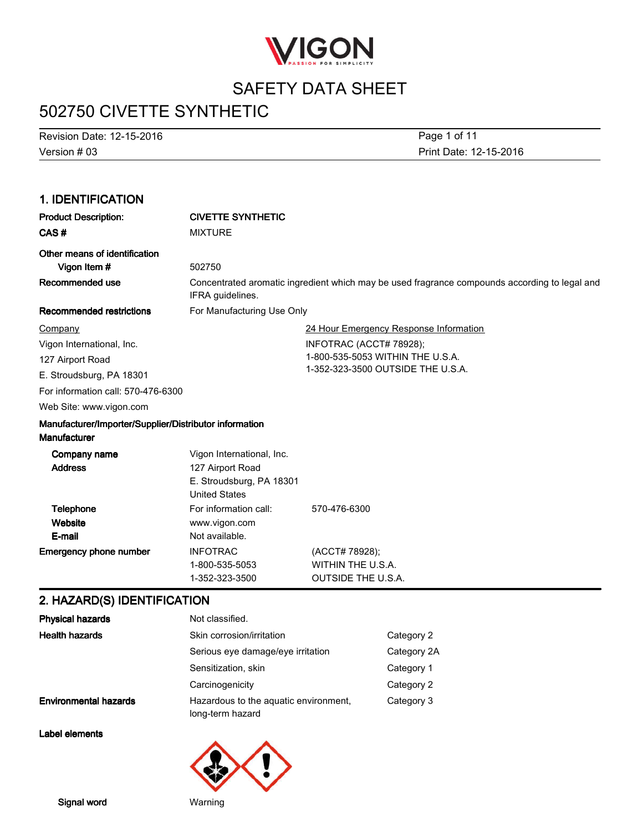

# 502750 CIVETTE SYNTHETIC

Version#03 Revision Date: 12-15-2016 Page 1 of 11

Print Date: 12-15-2016

#### 1.IDENTIFICATION Product Description: CIVETTE SYNTHETIC CAS # MIXTURE Other means of identification Vigon Item  $#$  502750 Concentrated aromatic ingredient which may be used fragrance compounds according to legal and IFRA guidelines. Recommended use Recommended restrictions For Manufacturing Use Only 24 Hour Emergency Response Information INFOTRAC(ACCT#78928); 1-800-535-5053 WITHIN THE U.S.A. 1-352-323-3500 OUTSIDE THE U.S.A. Web Site: www.vigon.com For information call: 570-476-6300 **Company** Vigon International, Inc. 127 Airport Road E. Stroudsburg, PA 18301 Manufacturer/Importer/Supplier/Distributor information **Manufacturer** Vigon International, Inc. Address 127 Airport Road Company name **Website** Telephone For information call: 570-476-6300 **Emergency phone number INFOTRAC (ACCT#78928);** 1-800-535-5053 WITHIN THE U.S.A. 1-352-323-3500 OUTSIDETHEU.S.A. E-mail **United States** www.vigon.com Not available. E. Stroudsburg, PA 18301

### 2. HAZARD(S) IDENTIFICATION

| <b>Physical hazards</b>      | Not classified.                                           |             |
|------------------------------|-----------------------------------------------------------|-------------|
| <b>Health hazards</b>        | Skin corrosion/irritation                                 | Category 2  |
|                              | Serious eye damage/eye irritation                         | Category 2A |
|                              | Sensitization, skin                                       | Category 1  |
|                              | Carcinogenicity                                           | Category 2  |
| <b>Environmental hazards</b> | Hazardous to the aquatic environment.<br>long-term hazard | Category 3  |

Label elements

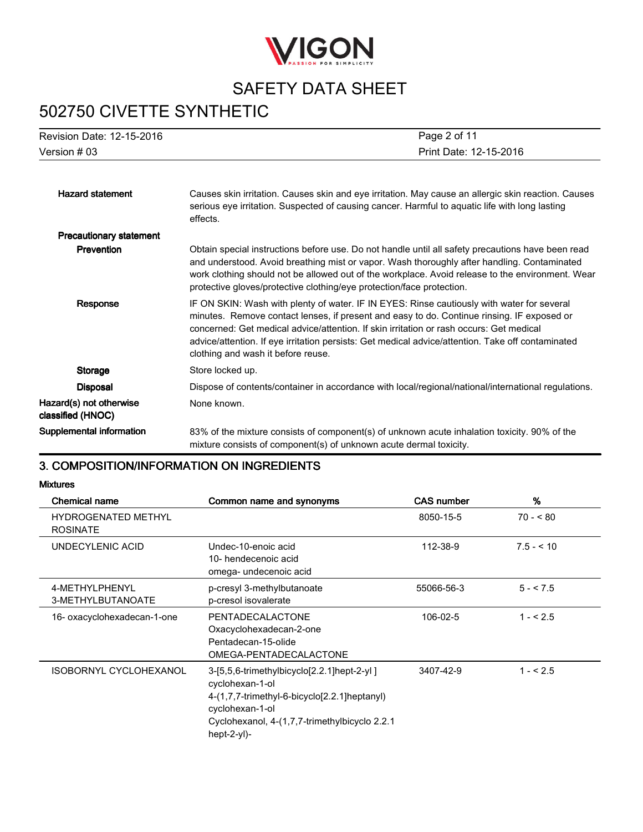

# 502750 CIVETTE SYNTHETIC

| Revision Date: 12-15-2016                    | Page 2 of 11                                                                                                                                                                                                                                                                                                                                                                                                                   |
|----------------------------------------------|--------------------------------------------------------------------------------------------------------------------------------------------------------------------------------------------------------------------------------------------------------------------------------------------------------------------------------------------------------------------------------------------------------------------------------|
| Version $#03$                                | Print Date: 12-15-2016                                                                                                                                                                                                                                                                                                                                                                                                         |
|                                              |                                                                                                                                                                                                                                                                                                                                                                                                                                |
| <b>Hazard statement</b>                      | Causes skin irritation. Causes skin and eye irritation. May cause an allergic skin reaction. Causes<br>serious eye irritation. Suspected of causing cancer. Harmful to aquatic life with long lasting<br>effects.                                                                                                                                                                                                              |
| <b>Precautionary statement</b>               |                                                                                                                                                                                                                                                                                                                                                                                                                                |
| Prevention                                   | Obtain special instructions before use. Do not handle until all safety precautions have been read<br>and understood. Avoid breathing mist or vapor. Wash thoroughly after handling. Contaminated<br>work clothing should not be allowed out of the workplace. Avoid release to the environment. Wear<br>protective gloves/protective clothing/eye protection/face protection.                                                  |
| Response                                     | IF ON SKIN: Wash with plenty of water. IF IN EYES: Rinse cautiously with water for several<br>minutes. Remove contact lenses, if present and easy to do. Continue rinsing. IF exposed or<br>concerned: Get medical advice/attention. If skin irritation or rash occurs: Get medical<br>advice/attention. If eye irritation persists: Get medical advice/attention. Take off contaminated<br>clothing and wash it before reuse. |
| Storage                                      | Store locked up.                                                                                                                                                                                                                                                                                                                                                                                                               |
| <b>Disposal</b>                              | Dispose of contents/container in accordance with local/regional/national/international regulations.                                                                                                                                                                                                                                                                                                                            |
| Hazard(s) not otherwise<br>classified (HNOC) | None known.                                                                                                                                                                                                                                                                                                                                                                                                                    |
| Supplemental information                     | 83% of the mixture consists of component(s) of unknown acute inhalation toxicity. 90% of the<br>mixture consists of component(s) of unknown acute dermal toxicity.                                                                                                                                                                                                                                                             |

### 3. COMPOSITION/INFORMATION ON INGREDIENTS

Mixtures

| <b>Chemical name</b>                          | Common name and synonyms                                                                                                                                                                         | <b>CAS number</b> | %          |
|-----------------------------------------------|--------------------------------------------------------------------------------------------------------------------------------------------------------------------------------------------------|-------------------|------------|
| <b>HYDROGENATED METHYL</b><br><b>ROSINATE</b> |                                                                                                                                                                                                  | 8050-15-5         | $70 - 80$  |
| UNDECYLENIC ACID                              | Undec-10-enoic acid<br>10- hendecenoic acid<br>omega- undecenoic acid                                                                                                                            | 112-38-9          | $7.5 - 10$ |
| 4-METHYLPHENYL<br>3-METHYLBUTANOATE           | p-cresyl 3-methylbutanoate<br>p-cresol isovalerate                                                                                                                                               | 55066-56-3        | $5 - 7.5$  |
| 16- oxacyclohexadecan-1-one                   | PENTADECALACTONE<br>Oxacyclohexadecan-2-one<br>Pentadecan-15-olide<br>OMEGA-PENTADECALACTONE                                                                                                     | 106-02-5          | $1 - 5.5$  |
| <b>ISOBORNYL CYCLOHEXANOL</b>                 | 3-[5,5,6-trimethylbicyclo[2.2.1]hept-2-yl]<br>cyclohexan-1-ol<br>4-(1,7,7-trimethyl-6-bicyclo[2.2.1]heptanyl)<br>cyclohexan-1-ol<br>Cyclohexanol, 4-(1,7,7-trimethylbicyclo 2.2.1<br>hept-2-yl)- | 3407-42-9         | $1 - 5.5$  |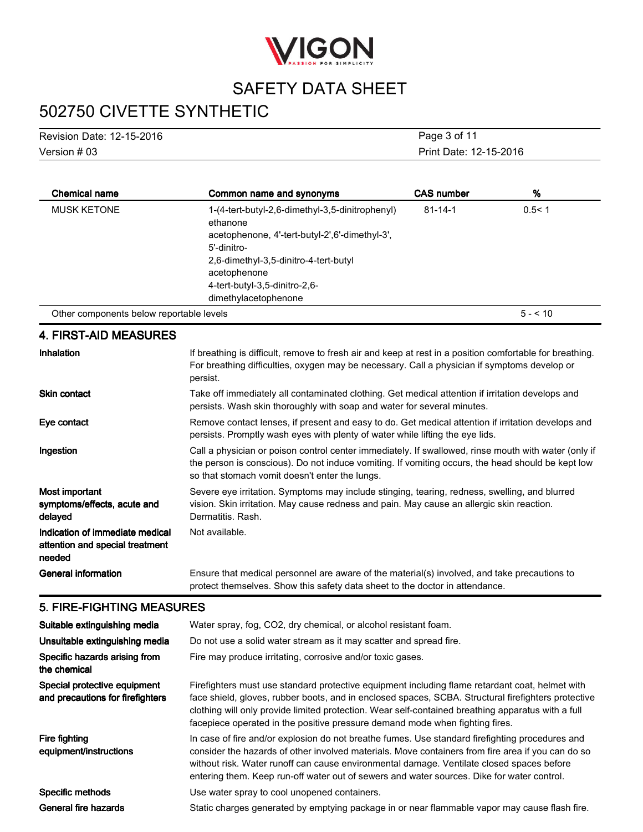

# 502750 CIVETTE SYNTHETIC

| Revision Date: 12-15-2016 | Page 3 of 11           |
|---------------------------|------------------------|
| Version # 03              | Print Date: 12-15-2016 |

| <b>Chemical name</b>                     | Common name and synonyms                                                                                                                                                                                               | <b>CAS number</b> | %            |
|------------------------------------------|------------------------------------------------------------------------------------------------------------------------------------------------------------------------------------------------------------------------|-------------------|--------------|
| <b>MUSK KETONE</b>                       | 1-(4-tert-butyl-2,6-dimethyl-3,5-dinitrophenyl)<br>ethanone<br>acetophenone, 4'-tert-butyl-2',6'-dimethyl-3',<br>5'-dinitro-<br>2.6-dimethyl-3.5-dinitro-4-tert-butyl<br>acetophenone<br>4-tert-butyl-3,5-dinitro-2,6- | $81 - 14 - 1$     | 0.5 < 1      |
|                                          | dimethylacetophenone                                                                                                                                                                                                   |                   |              |
| Other components below reportable levels |                                                                                                                                                                                                                        |                   | $5 - 5 = 10$ |

### **4. FIRST-AID MEASURES**

| <b>Inhalation</b>                                                            | If breathing is difficult, remove to fresh air and keep at rest in a position comfortable for breathing.<br>For breathing difficulties, oxygen may be necessary. Call a physician if symptoms develop or<br>persist.                                        |
|------------------------------------------------------------------------------|-------------------------------------------------------------------------------------------------------------------------------------------------------------------------------------------------------------------------------------------------------------|
| <b>Skin contact</b>                                                          | Take off immediately all contaminated clothing. Get medical attention if irritation develops and<br>persists. Wash skin thoroughly with soap and water for several minutes.                                                                                 |
| Eye contact                                                                  | Remove contact lenses, if present and easy to do. Get medical attention if irritation develops and<br>persists. Promptly wash eyes with plenty of water while lifting the eye lids.                                                                         |
| Ingestion                                                                    | Call a physician or poison control center immediately. If swallowed, rinse mouth with water (only if<br>the person is conscious). Do not induce vomiting. If vomiting occurs, the head should be kept low<br>so that stomach vomit doesn't enter the lungs. |
| Most important<br>symptoms/effects, acute and<br>delayed                     | Severe eye irritation. Symptoms may include stinging, tearing, redness, swelling, and blurred<br>vision. Skin irritation. May cause redness and pain. May cause an allergic skin reaction.<br>Dermatitis, Rash.                                             |
| Indication of immediate medical<br>attention and special treatment<br>needed | Not available.                                                                                                                                                                                                                                              |
| <b>General information</b>                                                   | Ensure that medical personnel are aware of the material(s) involved, and take precautions to<br>protect themselves. Show this safety data sheet to the doctor in attendance.                                                                                |

### 5. FIRE-FIGHTING MEASURES

| Suitable extinguishing media                                     | Water spray, fog, CO2, dry chemical, or alcohol resistant foam.                                                                                                                                                                                                                                                                                                                                 |
|------------------------------------------------------------------|-------------------------------------------------------------------------------------------------------------------------------------------------------------------------------------------------------------------------------------------------------------------------------------------------------------------------------------------------------------------------------------------------|
| Unsuitable extinguishing media                                   | Do not use a solid water stream as it may scatter and spread fire.                                                                                                                                                                                                                                                                                                                              |
| Specific hazards arising from<br>the chemical                    | Fire may produce irritating, corrosive and/or toxic gases.                                                                                                                                                                                                                                                                                                                                      |
| Special protective equipment<br>and precautions for firefighters | Firefighters must use standard protective equipment including flame retardant coat, helmet with<br>face shield, gloves, rubber boots, and in enclosed spaces, SCBA. Structural firefighters protective<br>clothing will only provide limited protection. Wear self-contained breathing apparatus with a full<br>facepiece operated in the positive pressure demand mode when fighting fires.    |
| Fire fighting<br>equipment/instructions                          | In case of fire and/or explosion do not breathe fumes. Use standard firefighting procedures and<br>consider the hazards of other involved materials. Move containers from fire area if you can do so<br>without risk. Water runoff can cause environmental damage. Ventilate closed spaces before<br>entering them. Keep run-off water out of sewers and water sources. Dike for water control. |
| Specific methods                                                 | Use water spray to cool unopened containers.                                                                                                                                                                                                                                                                                                                                                    |
| General fire hazards                                             | Static charges generated by emptying package in or near flammable vapor may cause flash fire.                                                                                                                                                                                                                                                                                                   |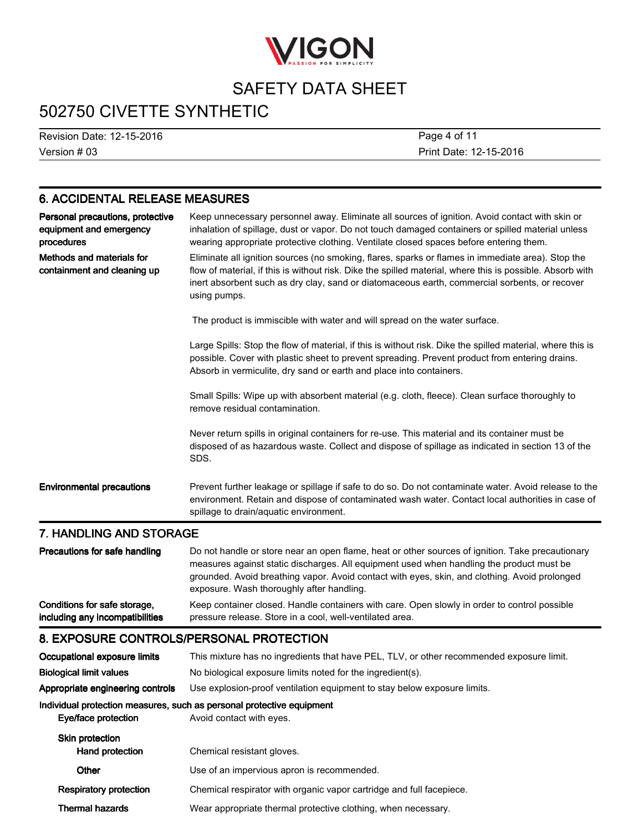

# 502750 CIVETTE SYNTHETIC

Version#03 Revision Date: 12-15-2016

Print Date: 12-15-2016 Page 4 of 11

### 6. ACCIDENTAL RELEASE MEASURES

| Personal precautions, protective<br>equipment and emergency<br>procedures | Keep unnecessary personnel away. Eliminate all sources of ignition. Avoid contact with skin or<br>inhalation of spillage, dust or vapor. Do not touch damaged containers or spilled material unless<br>wearing appropriate protective clothing. Ventilate closed spaces before entering them.                                   |
|---------------------------------------------------------------------------|---------------------------------------------------------------------------------------------------------------------------------------------------------------------------------------------------------------------------------------------------------------------------------------------------------------------------------|
| Methods and materials for<br>containment and cleaning up                  | Eliminate all ignition sources (no smoking, flares, sparks or flames in immediate area). Stop the<br>flow of material, if this is without risk. Dike the spilled material, where this is possible. Absorb with<br>inert absorbent such as dry clay, sand or diatomaceous earth, commercial sorbents, or recover<br>using pumps. |
|                                                                           | The product is immiscible with water and will spread on the water surface.                                                                                                                                                                                                                                                      |
|                                                                           | Large Spills: Stop the flow of material, if this is without risk. Dike the spilled material, where this is<br>possible. Cover with plastic sheet to prevent spreading. Prevent product from entering drains.<br>Absorb in vermiculite, dry sand or earth and place into containers.                                             |
|                                                                           | Small Spills: Wipe up with absorbent material (e.g. cloth, fleece). Clean surface thoroughly to<br>remove residual contamination.                                                                                                                                                                                               |
|                                                                           | Never return spills in original containers for re-use. This material and its container must be<br>disposed of as hazardous waste. Collect and dispose of spillage as indicated in section 13 of the<br>SDS.                                                                                                                     |
| <b>Environmental precautions</b>                                          | Prevent further leakage or spillage if safe to do so. Do not contaminate water. Avoid release to the<br>environment. Retain and dispose of contaminated wash water. Contact local authorities in case of<br>spillage to drain/aquatic environment.                                                                              |

### 7. HANDLING AND STORAGE

| Precautions for safe handling   | Do not handle or store near an open flame, heat or other sources of ignition. Take precautionary<br>measures against static discharges. All equipment used when handling the product must be<br>grounded. Avoid breathing vapor. Avoid contact with eyes, skin, and clothing. Avoid prolonged<br>exposure. Wash thoroughly after handling. |
|---------------------------------|--------------------------------------------------------------------------------------------------------------------------------------------------------------------------------------------------------------------------------------------------------------------------------------------------------------------------------------------|
| Conditions for safe storage,    | Keep container closed. Handle containers with care. Open slowly in order to control possible                                                                                                                                                                                                                                               |
| including any incompatibilities | pressure release. Store in a cool, well-ventilated area.                                                                                                                                                                                                                                                                                   |

### 8. EXPOSURE CONTROLS/PERSONAL PROTECTION

| This mixture has no ingredients that have PEL, TLV, or other recommended exposure limit.                     |  |
|--------------------------------------------------------------------------------------------------------------|--|
| No biological exposure limits noted for the ingredient(s).                                                   |  |
| Use explosion-proof ventilation equipment to stay below exposure limits.<br>Appropriate engineering controls |  |
| Individual protection measures, such as personal protective equipment<br>Avoid contact with eyes.            |  |
| Chemical resistant gloves.                                                                                   |  |
| Use of an impervious apron is recommended.                                                                   |  |
| Chemical respirator with organic vapor cartridge and full facepiece.                                         |  |
| Wear appropriate thermal protective clothing, when necessary.                                                |  |
|                                                                                                              |  |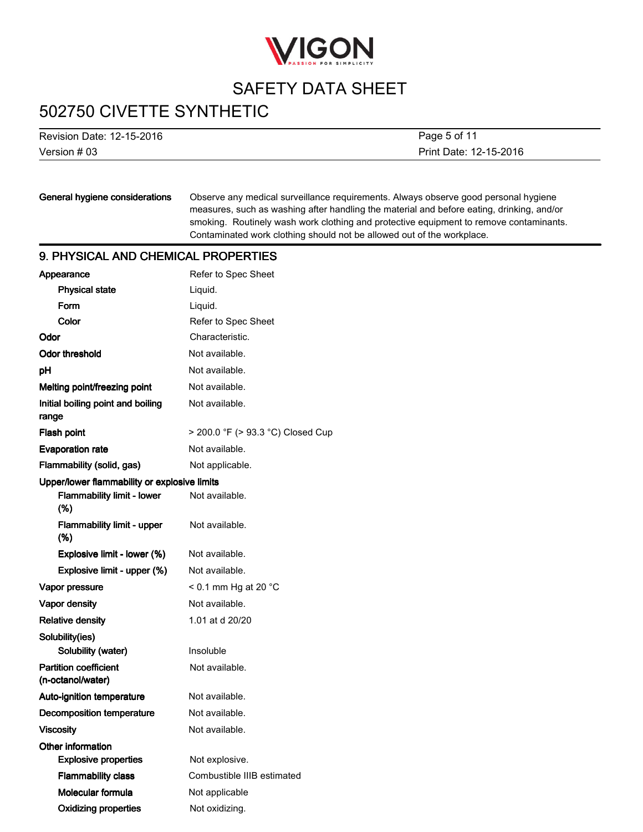

## 502750 CIVETTE SYNTHETIC

Version#03 Revision Date: 12-15-2016 Print Date: 12-15-2016 Page 5 of 11

### General hygiene considerations

Observe any medical surveillance requirements. Always observe good personal hygiene measures, such as washing after handling the material and before eating, drinking, and/or smoking. Routinely wash work clothing and protective equipment to remove contaminants. Contaminated work clothing should not be allowed out of the workplace.

### 9. PHYSICAL AND CHEMICAL PROPERTIES

| Appearance                                        | Refer to Spec Sheet               |
|---------------------------------------------------|-----------------------------------|
| <b>Physical state</b>                             | Liquid.                           |
| Form                                              | Liquid.                           |
| Color                                             | Refer to Spec Sheet               |
| Odor                                              | Characteristic.                   |
| <b>Odor threshold</b>                             | Not available.                    |
| рH                                                | Not available.                    |
| Melting point/freezing point                      | Not available.                    |
| Initial boiling point and boiling<br>range        | Not available.                    |
| Flash point                                       | > 200.0 °F (> 93.3 °C) Closed Cup |
| <b>Evaporation rate</b>                           | Not available.                    |
| Flammability (solid, gas)                         | Not applicable.                   |
| Upper/lower flammability or explosive limits      |                                   |
| <b>Flammability limit - lower</b><br>(%)          | Not available.                    |
| <b>Flammability limit - upper</b><br>(%)          | Not available.                    |
| Explosive limit - lower (%)                       | Not available.                    |
| Explosive limit - upper (%)                       | Not available.                    |
| Vapor pressure                                    | $<$ 0.1 mm Hg at 20 $^{\circ}$ C  |
| <b>Vapor density</b>                              | Not available.                    |
| <b>Relative density</b>                           | 1.01 at d 20/20                   |
| Solubility(ies)                                   |                                   |
| Solubility (water)                                | Insoluble                         |
| <b>Partition coefficient</b><br>(n-octanol/water) | Not available.                    |
| Auto-ignition temperature                         | Not available.                    |
| <b>Decomposition temperature</b>                  | Not available.                    |
| <b>Viscosity</b>                                  | Not available.                    |
| Other information                                 |                                   |
| <b>Explosive properties</b>                       | Not explosive.                    |
| <b>Flammability class</b>                         | Combustible IIIB estimated        |
| Molecular formula                                 | Not applicable                    |
| <b>Oxidizing properties</b>                       | Not oxidizing.                    |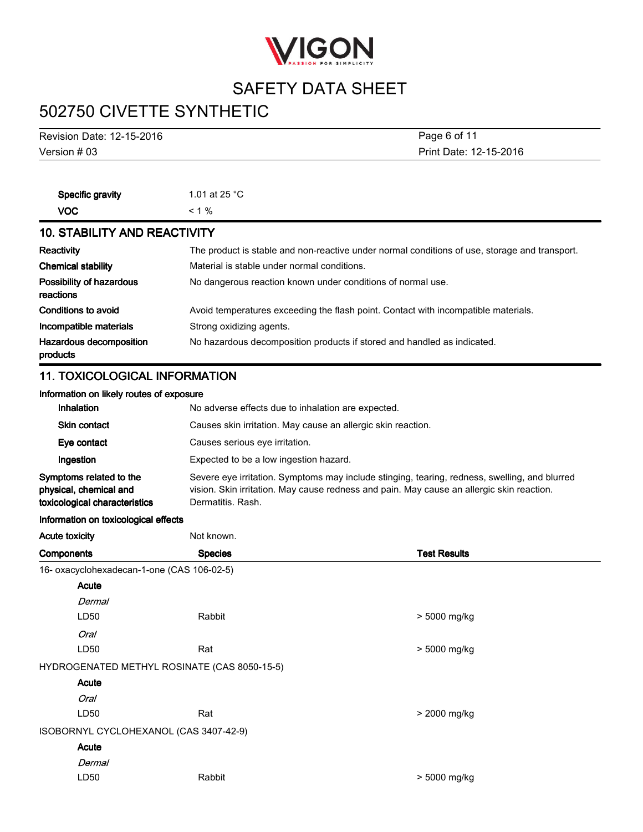

# 502750 CIVETTE SYNTHETIC

| <b>Revision Date: 12-15-2016</b>                      | Page 6 of 11                                                                                  |                                                                                               |  |  |
|-------------------------------------------------------|-----------------------------------------------------------------------------------------------|-----------------------------------------------------------------------------------------------|--|--|
| Version # 03                                          | Print Date: 12-15-2016                                                                        |                                                                                               |  |  |
|                                                       |                                                                                               |                                                                                               |  |  |
| Specific gravity                                      | 1.01 at 25 °C                                                                                 |                                                                                               |  |  |
| <b>VOC</b>                                            | $< 1 \%$                                                                                      |                                                                                               |  |  |
| <b>10. STABILITY AND REACTIVITY</b>                   |                                                                                               |                                                                                               |  |  |
|                                                       |                                                                                               |                                                                                               |  |  |
| <b>Reactivity</b>                                     | Material is stable under normal conditions.                                                   | The product is stable and non-reactive under normal conditions of use, storage and transport. |  |  |
| <b>Chemical stability</b><br>Possibility of hazardous |                                                                                               |                                                                                               |  |  |
| reactions                                             |                                                                                               | No dangerous reaction known under conditions of normal use.                                   |  |  |
| <b>Conditions to avoid</b>                            |                                                                                               | Avoid temperatures exceeding the flash point. Contact with incompatible materials.            |  |  |
| Incompatible materials                                | Strong oxidizing agents.                                                                      |                                                                                               |  |  |
| Hazardous decomposition                               |                                                                                               | No hazardous decomposition products if stored and handled as indicated.                       |  |  |
| products                                              |                                                                                               |                                                                                               |  |  |
| <b>11. TOXICOLOGICAL INFORMATION</b>                  |                                                                                               |                                                                                               |  |  |
| Information on likely routes of exposure              |                                                                                               |                                                                                               |  |  |
| Inhalation                                            |                                                                                               | No adverse effects due to inhalation are expected.                                            |  |  |
| <b>Skin contact</b>                                   |                                                                                               | Causes skin irritation. May cause an allergic skin reaction.                                  |  |  |
| Eye contact                                           | Causes serious eye irritation.                                                                |                                                                                               |  |  |
| Ingestion                                             | Expected to be a low ingestion hazard.                                                        |                                                                                               |  |  |
| Symptoms related to the                               | Severe eye irritation. Symptoms may include stinging, tearing, redness, swelling, and blurred |                                                                                               |  |  |
| physical, chemical and                                |                                                                                               | vision. Skin irritation. May cause redness and pain. May cause an allergic skin reaction.     |  |  |
| toxicological characteristics                         | Dermatitis. Rash.                                                                             |                                                                                               |  |  |
| Information on toxicological effects                  |                                                                                               |                                                                                               |  |  |
| <b>Acute toxicity</b>                                 | Not known.                                                                                    |                                                                                               |  |  |
| Components                                            | <b>Species</b>                                                                                | <b>Test Results</b>                                                                           |  |  |
| 16- oxacyclohexadecan-1-one (CAS 106-02-5)            |                                                                                               |                                                                                               |  |  |
| Acute                                                 |                                                                                               |                                                                                               |  |  |
| Dermal<br>LD50                                        |                                                                                               |                                                                                               |  |  |
|                                                       | Rabbit                                                                                        | > 5000 mg/kg                                                                                  |  |  |
| Oral<br>LD50                                          |                                                                                               |                                                                                               |  |  |
|                                                       | Rat                                                                                           | > 5000 mg/kg                                                                                  |  |  |
| HYDROGENATED METHYL ROSINATE (CAS 8050-15-5)          |                                                                                               |                                                                                               |  |  |
| Acute                                                 |                                                                                               |                                                                                               |  |  |
| Oral                                                  |                                                                                               |                                                                                               |  |  |
| LD50                                                  | Rat                                                                                           | > 2000 mg/kg                                                                                  |  |  |

ISOBORNYLCYCLOHEXANOL(CAS3407-42-9)

### Acute

| Dermal |        |
|--------|--------|
| LD50   | Rabbit |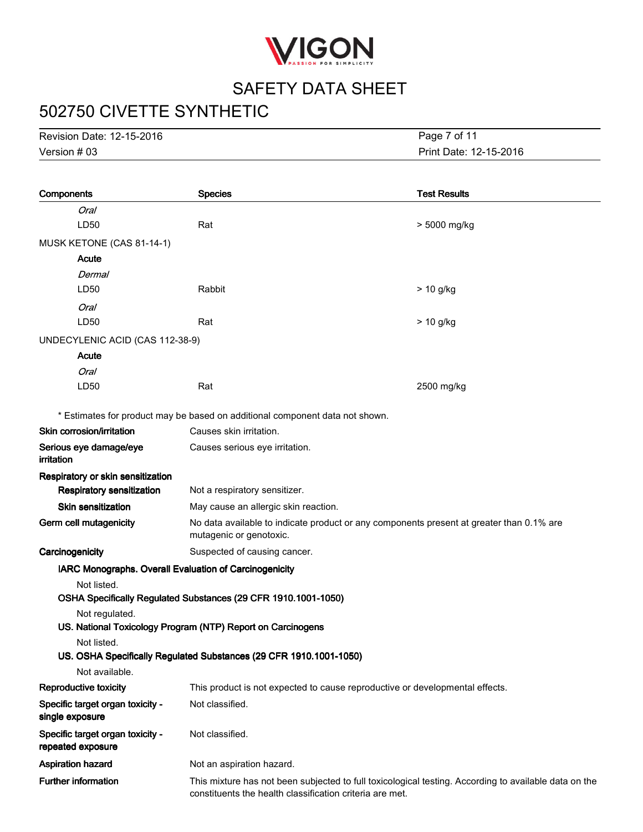

# 502750 CIVETTE SYNTHETIC

Version#03 Revision Date: 12-15-2016

Print Date: 12-15-2016 Page 7 of 11

| Components                                             | <b>Species</b>                                                                                                                                                    | <b>Test Results</b> |
|--------------------------------------------------------|-------------------------------------------------------------------------------------------------------------------------------------------------------------------|---------------------|
| Oral                                                   |                                                                                                                                                                   |                     |
| LD50                                                   | Rat                                                                                                                                                               | > 5000 mg/kg        |
| MUSK KETONE (CAS 81-14-1)                              |                                                                                                                                                                   |                     |
| Acute                                                  |                                                                                                                                                                   |                     |
| Dermal                                                 |                                                                                                                                                                   |                     |
| LD50                                                   | Rabbit                                                                                                                                                            | > 10 g/kg           |
| <b>Oral</b>                                            |                                                                                                                                                                   |                     |
| LD50                                                   | Rat                                                                                                                                                               | > 10 g/kg           |
| UNDECYLENIC ACID (CAS 112-38-9)                        |                                                                                                                                                                   |                     |
| Acute                                                  |                                                                                                                                                                   |                     |
| Oral                                                   |                                                                                                                                                                   |                     |
| LD50                                                   | Rat                                                                                                                                                               | 2500 mg/kg          |
|                                                        | * Estimates for product may be based on additional component data not shown.                                                                                      |                     |
| Skin corrosion/irritation                              | Causes skin irritation.                                                                                                                                           |                     |
| Serious eye damage/eye<br>irritation                   | Causes serious eye irritation.                                                                                                                                    |                     |
| Respiratory or skin sensitization                      |                                                                                                                                                                   |                     |
| <b>Respiratory sensitization</b>                       | Not a respiratory sensitizer.                                                                                                                                     |                     |
| <b>Skin sensitization</b>                              | May cause an allergic skin reaction.                                                                                                                              |                     |
| Germ cell mutagenicity                                 | No data available to indicate product or any components present at greater than 0.1% are<br>mutagenic or genotoxic.                                               |                     |
| Carcinogenicity                                        | Suspected of causing cancer.                                                                                                                                      |                     |
| IARC Monographs. Overall Evaluation of Carcinogenicity |                                                                                                                                                                   |                     |
| Not listed.                                            |                                                                                                                                                                   |                     |
|                                                        | OSHA Specifically Regulated Substances (29 CFR 1910.1001-1050)                                                                                                    |                     |
| Not regulated.                                         |                                                                                                                                                                   |                     |
| Not listed.                                            | US. National Toxicology Program (NTP) Report on Carcinogens                                                                                                       |                     |
|                                                        | US. OSHA Specifically Regulated Substances (29 CFR 1910.1001-1050)                                                                                                |                     |
| Not available.                                         |                                                                                                                                                                   |                     |
| Reproductive toxicity                                  | This product is not expected to cause reproductive or developmental effects.                                                                                      |                     |
| Specific target organ toxicity -<br>single exposure    | Not classified.                                                                                                                                                   |                     |
| Specific target organ toxicity -<br>repeated exposure  | Not classified.                                                                                                                                                   |                     |
| <b>Aspiration hazard</b>                               | Not an aspiration hazard.                                                                                                                                         |                     |
| <b>Further information</b>                             | This mixture has not been subjected to full toxicological testing. According to available data on the<br>constituents the health classification criteria are met. |                     |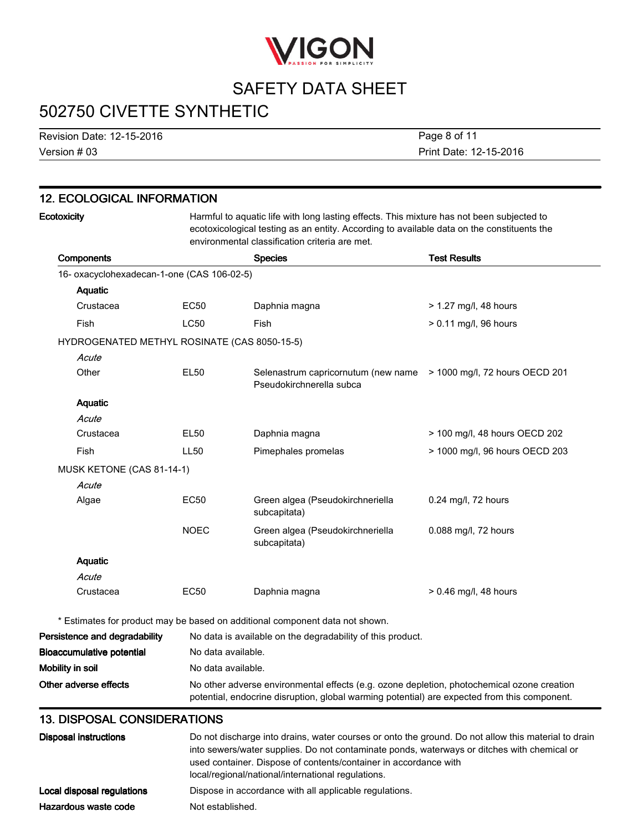

# 502750 CIVETTE SYNTHETIC

Revision Date: 12-15-2016

Version#03

Print Date: 12-15-2016 Page 8 of 11

| <b>12. ECOLOGICAL INFORMATION</b>            |                    |                                                                                                                                                                                                                                           |                                |  |
|----------------------------------------------|--------------------|-------------------------------------------------------------------------------------------------------------------------------------------------------------------------------------------------------------------------------------------|--------------------------------|--|
| Ecotoxicity                                  |                    | Harmful to aquatic life with long lasting effects. This mixture has not been subjected to<br>ecotoxicological testing as an entity. According to available data on the constituents the<br>environmental classification criteria are met. |                                |  |
| <b>Components</b>                            |                    | <b>Species</b>                                                                                                                                                                                                                            | <b>Test Results</b>            |  |
| 16- oxacyclohexadecan-1-one (CAS 106-02-5)   |                    |                                                                                                                                                                                                                                           |                                |  |
| Aquatic                                      |                    |                                                                                                                                                                                                                                           |                                |  |
| Crustacea                                    | EC50               | Daphnia magna                                                                                                                                                                                                                             | > 1.27 mg/l, 48 hours          |  |
| Fish                                         | <b>LC50</b>        | Fish                                                                                                                                                                                                                                      | > 0.11 mg/l, 96 hours          |  |
| HYDROGENATED METHYL ROSINATE (CAS 8050-15-5) |                    |                                                                                                                                                                                                                                           |                                |  |
| Acute                                        |                    |                                                                                                                                                                                                                                           |                                |  |
| Other                                        | <b>EL50</b>        | Selenastrum capricornutum (new name > 1000 mg/l, 72 hours OECD 201<br>Pseudokirchnerella subca                                                                                                                                            |                                |  |
| Aquatic                                      |                    |                                                                                                                                                                                                                                           |                                |  |
| Acute                                        |                    |                                                                                                                                                                                                                                           |                                |  |
| Crustacea                                    | EL50               | Daphnia magna                                                                                                                                                                                                                             | > 100 mg/l, 48 hours OECD 202  |  |
| Fish                                         | <b>LL50</b>        | Pimephales promelas                                                                                                                                                                                                                       | > 1000 mg/l, 96 hours OECD 203 |  |
| MUSK KETONE (CAS 81-14-1)                    |                    |                                                                                                                                                                                                                                           |                                |  |
| Acute                                        |                    |                                                                                                                                                                                                                                           |                                |  |
| Algae                                        | <b>EC50</b>        | Green algea (Pseudokirchneriella<br>subcapitata)                                                                                                                                                                                          | 0.24 mg/l, 72 hours            |  |
|                                              | <b>NOEC</b>        | Green algea (Pseudokirchneriella<br>subcapitata)                                                                                                                                                                                          | 0.088 mg/l, 72 hours           |  |
| <b>Aquatic</b>                               |                    |                                                                                                                                                                                                                                           |                                |  |
| Acute                                        |                    |                                                                                                                                                                                                                                           |                                |  |
| Crustacea                                    | EC50               | Daphnia magna                                                                                                                                                                                                                             | $> 0.46$ mg/l, 48 hours        |  |
|                                              |                    | * Estimates for product may be based on additional component data not shown.                                                                                                                                                              |                                |  |
| Persistence and degradability                |                    | No data is available on the degradability of this product.                                                                                                                                                                                |                                |  |
| <b>Bioaccumulative potential</b>             | No data available. |                                                                                                                                                                                                                                           |                                |  |
| Mobility in soil                             | No data available. |                                                                                                                                                                                                                                           |                                |  |
| Other adverse effects                        |                    | No other adverse environmental effects (e.g. ozone depletion, photochemical ozone creation                                                                                                                                                |                                |  |

### 13. DISPOSAL CONSIDERATIONS

| Disposal instructions      | Do not discharge into drains, water courses or onto the ground. Do not allow this material to drain<br>into sewers/water supplies. Do not contaminate ponds, waterways or ditches with chemical or<br>used container. Dispose of contents/container in accordance with<br>local/regional/national/international regulations. |
|----------------------------|------------------------------------------------------------------------------------------------------------------------------------------------------------------------------------------------------------------------------------------------------------------------------------------------------------------------------|
| Local disposal regulations | Dispose in accordance with all applicable regulations.                                                                                                                                                                                                                                                                       |
| Hazardous waste code       | Not established.                                                                                                                                                                                                                                                                                                             |

potential, endocrine disruption, global warming potential) are expected from this component.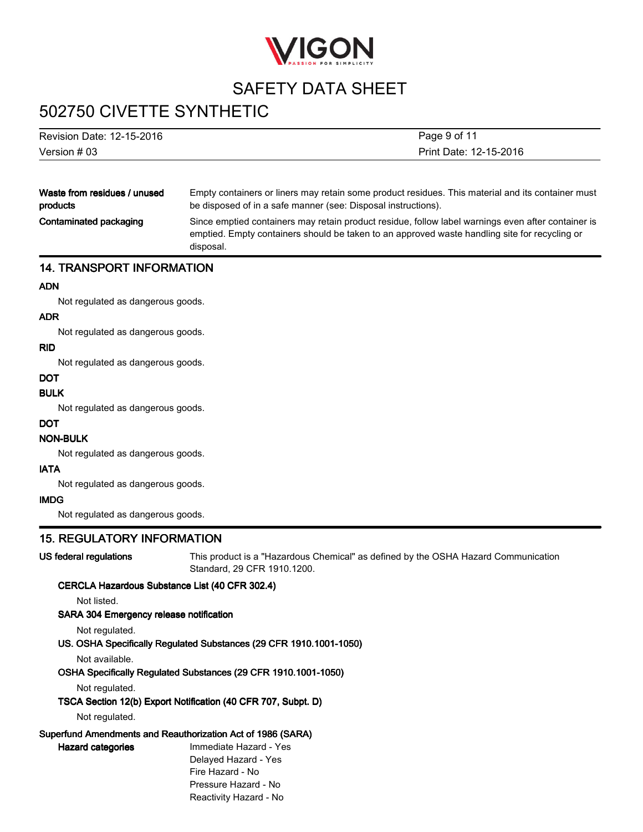

# 502750 CIVETTE SYNTHETIC

### Revision Date: 12-15-2016

Version#03

Print Date: 12-15-2016 Page 9 of 11

Waste from residues / unused products

Empty containers or liners may retain some product residues. This material and its container must be disposed of in a safe manner (see: Disposal instructions).

Contaminated packaging

Since emptied containers may retain product residue, follow label warnings even after container is emptied. Empty containers should be taken to an approved waste handling site for recycling or disposal.

### 14.TRANSPORTINFORMATION

#### ADN

Not regulated as dangerous goods.

### ADR

Not regulated as dangerous goods.

### RID

Not regulated as dangerous goods.

#### **DOT**

### BULK

Not regulated as dangerous goods.

#### **DOT**

### NON-BULK

Not regulated as dangerous goods.

### IATA

Not regulated as dangerous goods.

### IMDG

Not regulated as dangerous goods.

### **15. REGULATORY INFORMATION**

US federal regulations

This product is a "Hazardous Chemical" as defined by the OSHA Hazard Communication Standard, 29 CFR 1910.1200.

### CERCLA Hazardous Substance List (40 CFR 302.4)

Not listed.

### SARA 304 Emergency release notification

Not regulated.

#### US. OSHA Specifically Regulated Substances (29 CFR 1910.1001-1050)

Not available.

#### OSHA Specifically Regulated Substances (29 CFR 1910.1001-1050)

Not regulated.

#### TSCA Section 12(b) Export Notification (40 CFR 707, Subpt. D)

Not regulated.

Hazard categories

### Superfund Amendments and Reauthorization Act of 1986 (SARA)

Immediate Hazard - Yes Delayed Hazard - Yes Fire Hazard - No Pressure Hazard - No Reactivity Hazard - No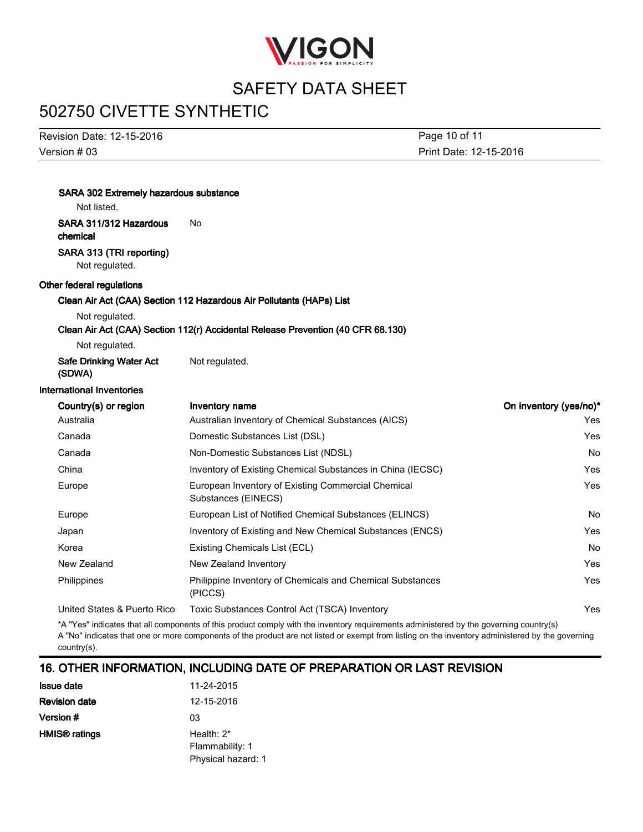

# 502750 CIVETTE SYNTHETIC

Version#03 Revision Date: 12-15-2016

Print Date: 12-15-2016 Page 10 of 11

| SARA 302 Extremely hazardous substance<br>Not listed. |                                                                                                                                        |                        |
|-------------------------------------------------------|----------------------------------------------------------------------------------------------------------------------------------------|------------------------|
| SARA 311/312 Hazardous<br>chemical                    | <b>No</b>                                                                                                                              |                        |
| SARA 313 (TRI reporting)<br>Not regulated.            |                                                                                                                                        |                        |
| Other federal regulations                             |                                                                                                                                        |                        |
|                                                       | Clean Air Act (CAA) Section 112 Hazardous Air Pollutants (HAPs) List                                                                   |                        |
| Not regulated.                                        |                                                                                                                                        |                        |
|                                                       | Clean Air Act (CAA) Section 112(r) Accidental Release Prevention (40 CFR 68.130)                                                       |                        |
| Not regulated.                                        |                                                                                                                                        |                        |
| Safe Drinking Water Act<br>(SDWA)                     | Not regulated.                                                                                                                         |                        |
| <b>International Inventories</b>                      |                                                                                                                                        |                        |
| Country(s) or region                                  | Inventory name                                                                                                                         | On inventory (yes/no)* |
| Australia                                             | Australian Inventory of Chemical Substances (AICS)                                                                                     | Yes                    |
| Canada                                                | Domestic Substances List (DSL)                                                                                                         | Yes                    |
| Canada                                                | Non-Domestic Substances List (NDSL)                                                                                                    | <b>No</b>              |
| China                                                 | Inventory of Existing Chemical Substances in China (IECSC)                                                                             | Yes                    |
| Europe                                                | European Inventory of Existing Commercial Chemical<br>Substances (EINECS)                                                              | Yes                    |
| Europe                                                | European List of Notified Chemical Substances (ELINCS)                                                                                 | No                     |
| Japan                                                 | Inventory of Existing and New Chemical Substances (ENCS)                                                                               | Yes                    |
| Korea                                                 | Existing Chemicals List (ECL)                                                                                                          | No                     |
| New Zealand                                           | New Zealand Inventory                                                                                                                  | Yes                    |
| Philippines                                           | Philippine Inventory of Chemicals and Chemical Substances<br>(PICCS)                                                                   | Yes                    |
| United States & Puerto Rico                           | Toxic Substances Control Act (TSCA) Inventory                                                                                          | Yes                    |
|                                                       | *A "Vec" indicates that all components of this product comply with the inventory requirements administered by the governing country(s) |                        |

\*A "Yes" indicates that all components of this product comply with the inventory requirements administered by the governing country(s) A "No" indicates that one or more components of the product are not listed or exempt from listing on the inventory administered by the governing country(s).

### 16. OTHER INFORMATION, INCLUDING DATE OF PREPARATION OR LAST REVISION

| <b>Issue date</b>         | 11-24-2015         |
|---------------------------|--------------------|
| <b>Revision date</b>      | 12-15-2016         |
| Version #                 | 03                 |
| HMIS <sup>®</sup> ratings | Health: $2^*$      |
|                           | Flammability: 1    |
|                           | Physical hazard: 1 |